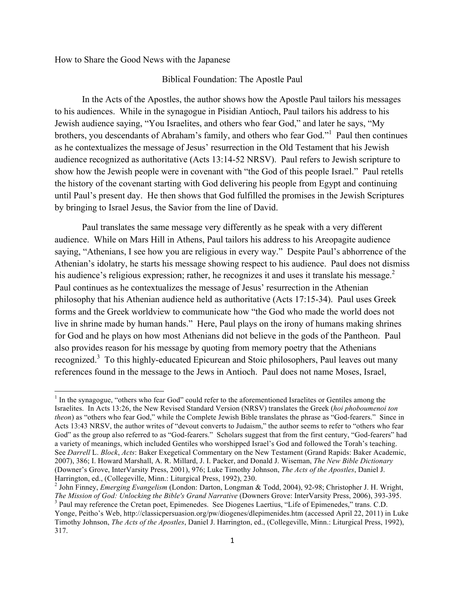How to Share the Good News with the Japanese

<u> 1989 - Johann Stein, markin film yn y breninn y breninn y breninn y breninn y breninn y breninn y breninn y b</u>

#### Biblical Foundation: The Apostle Paul

In the Acts of the Apostles, the author shows how the Apostle Paul tailors his messages to his audiences. While in the synagogue in Pisidian Antioch, Paul tailors his address to his Jewish audience saying, "You Israelites, and others who fear God," and later he says, "My brothers, you descendants of Abraham's family, and others who fear God."<sup>1</sup> Paul then continues as he contextualizes the message of Jesus' resurrection in the Old Testament that his Jewish audience recognized as authoritative (Acts 13:14-52 NRSV). Paul refers to Jewish scripture to show how the Jewish people were in covenant with "the God of this people Israel." Paul retells the history of the covenant starting with God delivering his people from Egypt and continuing until Paul's present day. He then shows that God fulfilled the promises in the Jewish Scriptures by bringing to Israel Jesus, the Savior from the line of David.

Paul translates the same message very differently as he speak with a very different audience. While on Mars Hill in Athens, Paul tailors his address to his Areopagite audience saying, "Athenians, I see how you are religious in every way." Despite Paul's abhorrence of the Athenian's idolatry, he starts his message showing respect to his audience. Paul does not dismiss his audience's religious expression; rather, he recognizes it and uses it translate his message. $2$ Paul continues as he contextualizes the message of Jesus' resurrection in the Athenian philosophy that his Athenian audience held as authoritative (Acts 17:15-34). Paul uses Greek forms and the Greek worldview to communicate how "the God who made the world does not live in shrine made by human hands." Here, Paul plays on the irony of humans making shrines for God and he plays on how most Athenians did not believe in the gods of the Pantheon. Paul also provides reason for his message by quoting from memory poetry that the Athenians recognized.<sup>3</sup> To this highly-educated Epicurean and Stoic philosophers, Paul leaves out many references found in the message to the Jews in Antioch. Paul does not name Moses, Israel,

<sup>&</sup>lt;sup>1</sup> In the synagogue, "others who fear God" could refer to the aforementioned Israelites or Gentiles among the Israelites. In Acts 13:26, the New Revised Standard Version (NRSV) translates the Greek (*hoi phoboumenoi ton theon*) as "others who fear God," while the Complete Jewish Bible translates the phrase as "God-fearers." Since in Acts 13:43 NRSV, the author writes of "devout converts to Judaism," the author seems to refer to "others who fear God" as the group also referred to as "God-fearers." Scholars suggest that from the first century, "God-fearers" had a variety of meanings, which included Gentiles who worshipped Israel's God and followed the Torah's teaching. See *Darrell* L. *Block*, *Acts*: Baker Exegetical Commentary on the New Testament (Grand Rapids: Baker Academic, 2007), 386; I. Howard Marshall, A. R. Millard, J. I. Packer, and Donald J. Wiseman, *The New Bible Dictionary* (Downer's Grove, InterVarsity Press, 2001), 976; Luke Timothy Johnson, *The Acts of the Apostles*, Daniel J. Harrington, ed., (Collegeville, Minn.: Liturgical Press, 1992), 230.<br><sup>2</sup> John Finney, *Emerging Evangelism* (London: Darton, Longman & Todd, 2004), 92-98; Christopher J. H. Wright,

*The Mission of God: Unlocking the Bible's Grand Narrative* (Downers Grove: InterVarsity Press, 2006), 393-395. <sup>3</sup> Paul may reference the Cretan poet, Epimenedes. See Diogenes Laertius, "Life of Epimenedes," trans. C.D. Yonge, Peitho's Web, http://classicpersuasion.org/pw/diogenes/dlepimenides.htm (accessed April 22, 2011) in Luke Timothy Johnson, *The Acts of the Apostles*, Daniel J. Harrington, ed., (Collegeville, Minn.: Liturgical Press, 1992), 317.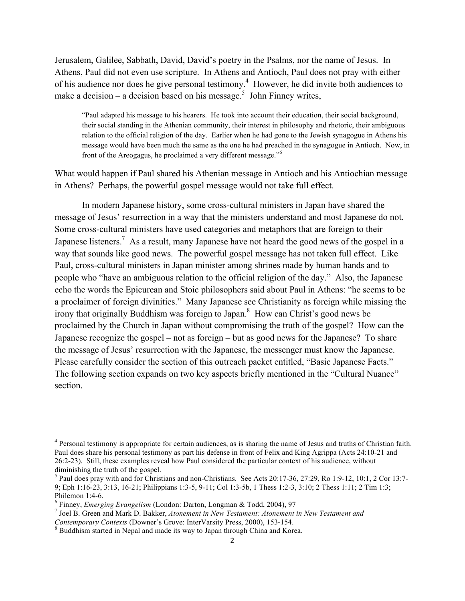Jerusalem, Galilee, Sabbath, David, David's poetry in the Psalms, nor the name of Jesus. In Athens, Paul did not even use scripture. In Athens and Antioch, Paul does not pray with either of his audience nor does he give personal testimony.<sup>4</sup> However, he did invite both audiences to make a decision – a decision based on his message.<sup>5</sup> John Finney writes,

"Paul adapted his message to his hearers. He took into account their education, their social background, their social standing in the Athenian community, their interest in philosophy and rhetoric, their ambiguous relation to the official religion of the day. Earlier when he had gone to the Jewish synagogue in Athens his message would have been much the same as the one he had preached in the synagogue in Antioch. Now, in front of the Areogagus, he proclaimed a very different message."<sup>6</sup>

What would happen if Paul shared his Athenian message in Antioch and his Antiochian message in Athens? Perhaps, the powerful gospel message would not take full effect.

In modern Japanese history, some cross-cultural ministers in Japan have shared the message of Jesus' resurrection in a way that the ministers understand and most Japanese do not. Some cross-cultural ministers have used categories and metaphors that are foreign to their Japanese listeners.<sup>7</sup> As a result, many Japanese have not heard the good news of the gospel in a way that sounds like good news. The powerful gospel message has not taken full effect. Like Paul, cross-cultural ministers in Japan minister among shrines made by human hands and to people who "have an ambiguous relation to the official religion of the day." Also, the Japanese echo the words the Epicurean and Stoic philosophers said about Paul in Athens: "he seems to be a proclaimer of foreign divinities." Many Japanese see Christianity as foreign while missing the irony that originally Buddhism was foreign to Japan. 8 How can Christ's good news be proclaimed by the Church in Japan without compromising the truth of the gospel? How can the Japanese recognize the gospel – not as foreign – but as good news for the Japanese? To share the message of Jesus' resurrection with the Japanese, the messenger must know the Japanese. Please carefully consider the section of this outreach packet entitled, "Basic Japanese Facts." The following section expands on two key aspects briefly mentioned in the "Cultural Nuance" section.

<sup>4</sup> Personal testimony is appropriate for certain audiences, as is sharing the name of Jesus and truths of Christian faith. Paul does share his personal testimony as part his defense in front of Felix and King Agrippa (Acts 24:10-21 and 26:2-23). Still, these examples reveal how Paul considered the particular context of his audience, without diminishing the truth of the gospel.

<sup>5</sup> Paul does pray with and for Christians and non-Christians. See Acts 20:17-36, 27:29, Ro 1:9-12, 10:1, 2 Cor 13:7- 9; Eph 1:16-23, 3:13, 16-21; Philippians 1:3-5, 9-11; Col 1:3-5b, 1 Thess 1:2-3, 3:10; 2 Thess 1:11; 2 Tim 1:3; Philemon 1:4-6.<br><sup>6</sup> Finney, *Emerging Evangelism* (London: Darton, Longman & Todd, 2004), 97<br><sup>7</sup> Joel B. Green and Mark D. Bakker, *Atonement in New Testament: Atonement in New Testament and* 

*Contemporary Contexts* (Downer's Grove: InterVarsity Press, 2000), 153-154.<br><sup>8</sup> Buddhism started in Nepal and made its way to Japan through China and Korea.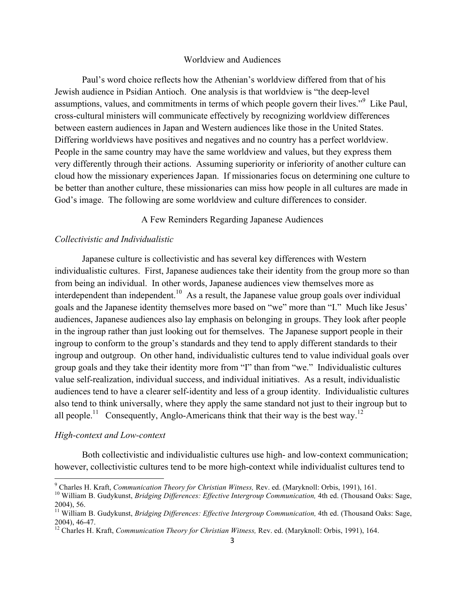#### Worldview and Audiences

Paul's word choice reflects how the Athenian's worldview differed from that of his Jewish audience in Psidian Antioch. One analysis is that worldview is "the deep-level assumptions, values, and commitments in terms of which people govern their lives."<sup>9</sup> Like Paul, cross-cultural ministers will communicate effectively by recognizing worldview differences between eastern audiences in Japan and Western audiences like those in the United States. Differing worldviews have positives and negatives and no country has a perfect worldview. People in the same country may have the same worldview and values, but they express them very differently through their actions. Assuming superiority or inferiority of another culture can cloud how the missionary experiences Japan. If missionaries focus on determining one culture to be better than another culture, these missionaries can miss how people in all cultures are made in God's image. The following are some worldview and culture differences to consider.

#### A Few Reminders Regarding Japanese Audiences

## *Collectivistic and Individualistic*

Japanese culture is collectivistic and has several key differences with Western individualistic cultures. First, Japanese audiences take their identity from the group more so than from being an individual. In other words, Japanese audiences view themselves more as interdependent than independent.<sup>10</sup> As a result, the Japanese value group goals over individual goals and the Japanese identity themselves more based on "we" more than "I." Much like Jesus' audiences, Japanese audiences also lay emphasis on belonging in groups. They look after people in the ingroup rather than just looking out for themselves. The Japanese support people in their ingroup to conform to the group's standards and they tend to apply different standards to their ingroup and outgroup. On other hand, individualistic cultures tend to value individual goals over group goals and they take their identity more from "I" than from "we." Individualistic cultures value self-realization, individual success, and individual initiatives. As a result, individualistic audiences tend to have a clearer self-identity and less of a group identity. Individualistic cultures also tend to think universally, where they apply the same standard not just to their ingroup but to all people.<sup>11</sup> Consequently, Anglo-Americans think that their way is the best way.<sup>12</sup>

#### *High-context and Low-context*

Both collectivistic and individualistic cultures use high- and low-context communication; however, collectivistic cultures tend to be more high-context while individualist cultures tend to

<sup>&</sup>lt;sup>9</sup> Charles H. Kraft, Communication Theory for Christian Witness, Rev. ed. (Maryknoll: Orbis, 1991), 161.

<sup>&</sup>lt;sup>10</sup> William B. Gudykunst, *Bridging Differences: Effective Intergroup Communication*, 4th ed. (Thousand Oaks: Sage, 2004), 56.

<sup>&</sup>lt;sup>11</sup> William B. Gudykunst, *Bridging Differences: Effective Intergroup Communication*, 4th ed. (Thousand Oaks: Sage, 2004), 46-47. <sup>12</sup> Charles H. Kraft, *Communication Theory for Christian Witness,* Rev. ed. (Maryknoll: Orbis, 1991), 164.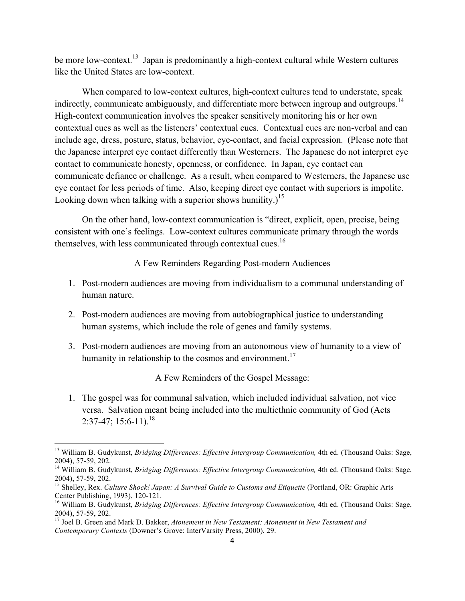be more low-context.<sup>13</sup> Japan is predominantly a high-context cultural while Western cultures like the United States are low-context.

When compared to low-context cultures, high-context cultures tend to understate, speak indirectly, communicate ambiguously, and differentiate more between ingroup and outgroups.<sup>14</sup> High-context communication involves the speaker sensitively monitoring his or her own contextual cues as well as the listeners' contextual cues. Contextual cues are non-verbal and can include age, dress, posture, status, behavior, eye-contact, and facial expression. (Please note that the Japanese interpret eye contact differently than Westerners. The Japanese do not interpret eye contact to communicate honesty, openness, or confidence. In Japan, eye contact can communicate defiance or challenge. As a result, when compared to Westerners, the Japanese use eye contact for less periods of time. Also, keeping direct eye contact with superiors is impolite. Looking down when talking with a superior shows humility.)<sup>15</sup>

On the other hand, low-context communication is "direct, explicit, open, precise, being consistent with one's feelings. Low-context cultures communicate primary through the words themselves, with less communicated through contextual cues.<sup>16</sup>

A Few Reminders Regarding Post-modern Audiences

- 1. Post-modern audiences are moving from individualism to a communal understanding of human nature.
- 2. Post-modern audiences are moving from autobiographical justice to understanding human systems, which include the role of genes and family systems.
- 3. Post-modern audiences are moving from an autonomous view of humanity to a view of humanity in relationship to the cosmos and environment.<sup>17</sup>

A Few Reminders of the Gospel Message:

1. The gospel was for communal salvation, which included individual salvation, not vice versa. Salvation meant being included into the multiethnic community of God (Acts  $2:37-47$ ; 15:6-11).<sup>18</sup>

<sup>&</sup>lt;sup>13</sup> William B. Gudykunst, *Bridging Differences: Effective Intergroup Communication*, 4th ed. (Thousand Oaks: Sage,

<sup>2004), 57-59, 202.&</sup>lt;br><sup>14</sup> William B. Gudykunst, *Bridging Differences: Effective Intergroup Communication*, 4th ed. (Thousand Oaks: Sage,<br>2004), 57-59, 202.

<sup>&</sup>lt;sup>15</sup> Shelley, Rex. *Culture Shock! Japan: A Survival Guide to Customs and Etiquette* (Portland, OR: Graphic Arts Center Publishing, 1993), 120-121.<br><sup>16</sup> William B. Gudykunst, *Bridging Differences: Effective Intergroup Communication*, 4th ed. (Thousand Oaks: Sage,

<sup>2004), 57-59, 202.&</sup>lt;br><sup>17</sup> Joel B. Green and Mark D. Bakker, *Atonement in New Testament: Atonement in New Testament and* 

*Contemporary Contexts* (Downer's Grove: InterVarsity Press, 2000), 29.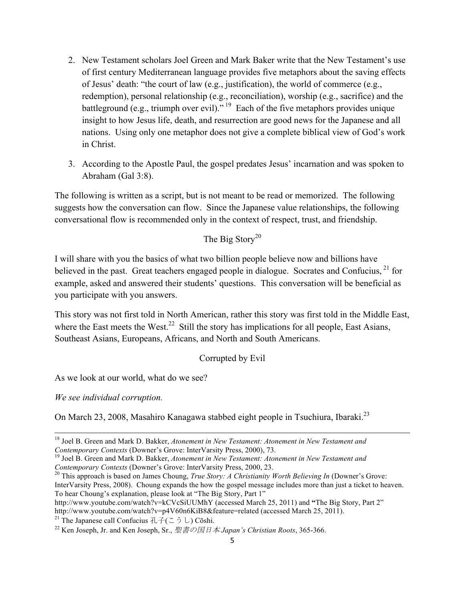- 2. New Testament scholars Joel Green and Mark Baker write that the New Testament's use of first century Mediterranean language provides five metaphors about the saving effects of Jesus' death: "the court of law (e.g., justification), the world of commerce (e.g., redemption), personal relationship (e.g., reconciliation), worship (e.g., sacrifice) and the battleground (e.g., triumph over evil)." <sup>19</sup> Each of the five metaphors provides unique insight to how Jesus life, death, and resurrection are good news for the Japanese and all nations. Using only one metaphor does not give a complete biblical view of God's work in Christ.
- 3. According to the Apostle Paul, the gospel predates Jesus' incarnation and was spoken to Abraham (Gal 3:8).

The following is written as a script, but is not meant to be read or memorized. The following suggests how the conversation can flow. Since the Japanese value relationships, the following conversational flow is recommended only in the context of respect, trust, and friendship.

The Big Story<sup>20</sup>

I will share with you the basics of what two billion people believe now and billions have believed in the past. Great teachers engaged people in dialogue. Socrates and Confucius, <sup>21</sup> for example, asked and answered their students' questions. This conversation will be beneficial as you participate with you answers.

This story was not first told in North American, rather this story was first told in the Middle East, where the East meets the West.<sup>22</sup> Still the story has implications for all people, East Asians, Southeast Asians, Europeans, Africans, and North and South Americans.

Corrupted by Evil

As we look at our world, what do we see?

*We see individual corruption.*

On March 23, 2008, Masahiro Kanagawa stabbed eight people in Tsuchiura, Ibaraki.<sup>23</sup>

http://www.youtube.com/watch?v=kCVcSiUUMhY (accessed March 25, 2011) and **"**The Big Story, Part 2" http://www.youtube.com/watch?v=p4V60n6KiB8&feature=related (accessed March 25, 2011).

<sup>&</sup>lt;sup>18</sup> Joel B. Green and Mark D. Bakker, *Atonement in New Testament: Atonement in New Testament and Contemporary Contexts (Downer's Grove: InterVarsity Press, 2000), 73.* 

<sup>&</sup>lt;sup>19</sup> Joel B. Green and Mark D. Bakker, *Atonement in New Testament: Atonement in New Testament and Contemporary Contexts (Downer's Grove: InterVarsity Press, 2000, 23.*<br><sup>20</sup> This approach is based on James Choung, *True Story: A Christianity Worth Believing In (Downer's Grove:* 

InterVarsity Press, 2008). Choung expands the how the gospel message includes more than just a ticket to heaven. To hear Choung's explanation, please look at "The Big Story, Part 1"

<sup>&</sup>lt;sup>21</sup> The Japanese call Confucius 孔子(こうし) Cōshi.<br><sup>22</sup> Ken Joseph, Jr. and Ken Joseph, Sr., *聖書の国日本 Japan's Christian Roots*, 365-366.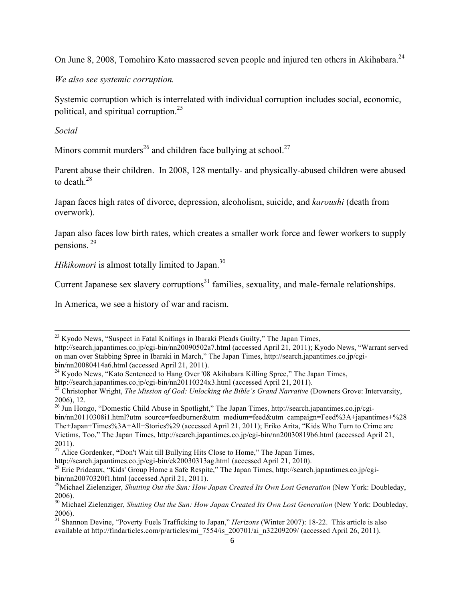On June 8, 2008. Tomohiro Kato massacred seven people and injured ten others in Akihabara.<sup>24</sup>

*We also see systemic corruption.*

Systemic corruption which is interrelated with individual corruption includes social, economic, political, and spiritual corruption.<sup>25</sup>

*Social*

Minors commit murders<sup>26</sup> and children face bullying at school.<sup>27</sup>

Parent abuse their children. In 2008, 128 mentally- and physically-abused children were abused to death  $^{28}$ 

Japan faces high rates of divorce, depression, alcoholism, suicide, and *karoushi* (death from overwork).

Japan also faces low birth rates, which creates a smaller work force and fewer workers to supply pensions. <sup>29</sup>

*Hikikomori* is almost totally limited to Japan.<sup>30</sup>

Current Japanese sex slavery corruptions $31$  families, sexuality, and male-female relationships.

In America, we see a history of war and racism.

<u> 1989 - Andrea Santa Andrea Andrea Andrea Andrea Andrea Andrea Andrea Andrea Andrea Andrea Andrea Andrea Andr</u>

<sup>24</sup> Kyodo News, "Kato Sentenced to Hang Over '08 Akihabara Killing Spree," The Japan Times, http://search.japantimes.co.jp/cgi-bin/nn20110324x3.html (accessed April 21, 2011).

 $23$  Kyodo News, "Suspect in Fatal Knifings in Ibaraki Pleads Guilty," The Japan Times,

http://search.japantimes.co.jp/cgi-bin/nn20090502a7.html (accessed April 21, 2011); Kyodo News, "Warrant served on man over Stabbing Spree in Ibaraki in March," The Japan Times, http://search.japantimes.co.jp/cgibin/nn20080414a6.html (accessed April 21, 2011).

<sup>&</sup>lt;sup>25</sup> Christopher Wright, *The Mission of God: Unlocking the Bible's Grand Narrative* (Downers Grove: Intervarsity, 2006), 12.

<sup>&</sup>lt;sup>26</sup> Jun Hongo, "Domestic Child Abuse in Spotlight," The Japan Times, http://search.japantimes.co.jp/cgibin/nn20110308i1.html?utm\_source=feedburner&utm\_medium=feed&utm\_campaign=Feed%3A+japantimes+%28 The+Japan+Times%3A+All+Stories%29 (accessed April 21, 2011); Eriko Arita, "Kids Who Turn to Crime are Victims, Too," The Japan Times, http://search.japantimes.co.jp/cgi-bin/nn20030819b6.html (accessed April 21, 2011).

<sup>&</sup>lt;sup>27</sup> Alice Gordenker, "Don't Wait till Bullying Hits Close to Home," The Japan Times,

http://search.japantimes.co.jp/cgi-bin/ek20030313ag.html (accessed April 21, 2010).<br><sup>28</sup> Eric Prideaux, "Kids' Group Home a Safe Respite," The Japan Times, http://search.japantimes.co.jp/cgibin/nn20070320f1.html (accessed April 21, 2011).

<sup>&</sup>lt;sup>29</sup>Michael Zielenziger, *Shutting Out the Sun: How Japan Created Its Own Lost Generation* (New York: Doubleday, 2006).

<sup>&</sup>lt;sup>30</sup> Michael Zielenziger, *Shutting Out the Sun: How Japan Created Its Own Lost Generation* (New York: Doubleday, 2006).

<sup>&</sup>lt;sup>31</sup> Shannon Devine, "Poverty Fuels Trafficking to Japan," *Herizons* (Winter 2007): 18-22. This article is also available at http://findarticles.com/p/articles/mi\_7554/is\_200701/ai\_n32209209/ (accessed April 26, 2011).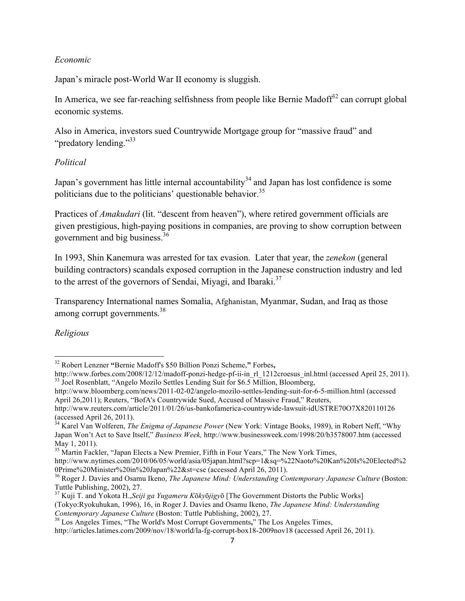## *Economic*

Japan's miracle post-World War II economy is sluggish.

In America, we see far-reaching selfishness from people like Bernie Madoff<sup>32</sup> can corrupt global economic systems.

Also in America, investors sued Countrywide Mortgage group for "massive fraud" and "predatory lending."<sup>33</sup>

## *Political*

Japan's government has little internal accountability<sup>34</sup> and Japan has lost confidence is some politicians due to the politicians' questionable behavior.<sup>35</sup>

Practices of *Amakudari* (lit. "descent from heaven"), where retired government officials are given prestigious, high-paying positions in companies, are proving to show corruption between government and big business.<sup>36</sup>

In 1993, Shin Kanemura was arrested for tax evasion. Later that year, the *zenekon* (general building contractors) scandals exposed corruption in the Japanese construction industry and led to the arrest of the governors of Sendai, Miyagi, and Ibaraki.<sup>37</sup>

Transparency International names Somalia, Afghanistan, Myanmar, Sudan, and Iraq as those among corrupt governments.<sup>38</sup>

*Religious*

<sup>32</sup> Robert Lenzner **"**Bernie Madoff's \$50 Billion Ponzi Scheme,**"** Forbes**,** 

http://www.forbes.com/2008/12/12/madoff-ponzi-hedge-pf-ii-in\_rl\_1212croesus\_inl.html (accessed April 25, 2011).<br><sup>33</sup> Joel Rosenblatt, "Angelo Mozilo Settles Lending Suit for \$6.5 Million, Bloomberg,

http://www.bloomberg.com/news/2011-02-02/angelo-mozilo-settles-lending-suit-for-6-5-million.html (accessed April 26,2011); Reuters, "BofA's Countrywide Sued, Accused of Massive Fraud," Reuters,

http://www.reuters.com/article/2011/01/26/us-bankofamerica-countrywide-lawsuit-idUSTRE70O7X820110126 (accessed April 26, 2011).

<sup>34</sup> Karel Van Wolferen, *The Enigma of Japanese Power* (New York: Vintage Books, 1989), in Robert Neff, "Why Japan Won't Act to Save Itself," *Business Week,* http://www.businessweek.com/1998/20/b3578007.htm (accessed May 1, 2011).

<sup>&</sup>lt;sup>35</sup> Martin Fackler, "Japan Elects a New Premier, Fifth in Four Years," The New York Times,

http://www.nytimes.com/2010/06/05/world/asia/05japan.html?scp=1&sq=%22Naoto%20Kan%20Is%20Elected%2 0Prime%20Minister%20in%20Japan%22&st=cse (accessed April 26, 2011).

<sup>&</sup>lt;sup>36</sup> Roger J. Davies and Osamu Ikeno, *The Japanese Mind: Understanding Contemporary Japanese Culture* (Boston: Tuttle Publishing, 2002), 27.

<sup>37</sup> Kuji T. and Yokota H.,*Seiji ga Yugameru K*ō*ky*ō*jigy*ō [The Government Distorts the Public Works] (Tokyo:Ryokuhukan, 1996), 16, in Roger J. Davies and Osamu Ikeno, *The Japanese Mind: Understanding* 

<sup>&</sup>lt;sup>38</sup> Los Angeles Times, "The World's Most Corrupt Governments," The Los Angeles Times,

http://articles.latimes.com/2009/nov/18/world/la-fg-corrupt-box18-2009nov18 (accessed April 26, 2011).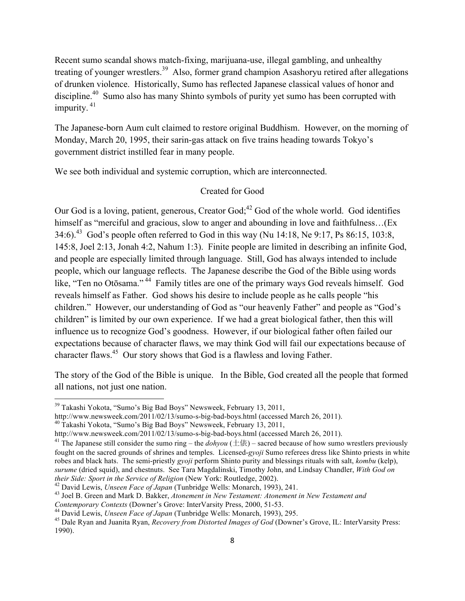Recent sumo scandal shows match-fixing, marijuana-use, illegal gambling, and unhealthy treating of younger wrestlers.<sup>39</sup> Also, former grand champion Asashoryu retired after allegations of drunken violence. Historically, Sumo has reflected Japanese classical values of honor and discipline.<sup>40</sup> Sumo also has many Shinto symbols of purity yet sumo has been corrupted with impurity. <sup>41</sup>

The Japanese-born Aum cult claimed to restore original Buddhism. However, on the morning of Monday, March 20, 1995, their sarin-gas attack on five trains heading towards Tokyo's government district instilled fear in many people.

We see both individual and systemic corruption, which are interconnected.

## Created for Good

Our God is a loving, patient, generous, Creator God;<sup>42</sup> God of the whole world. God identifies himself as "merciful and gracious, slow to anger and abounding in love and faithfulness...(Ex 34:6).<sup>43</sup> God's people often referred to God in this way (Nu 14:18, Ne 9:17, Ps 86:15, 103:8, 145:8, Joel 2:13, Jonah 4:2, Nahum 1:3). Finite people are limited in describing an infinite God, and people are especially limited through language. Still, God has always intended to include people, which our language reflects. The Japanese describe the God of the Bible using words like, "Ten no Otōsama." 44 Family titles are one of the primary ways God reveals himself. God reveals himself as Father. God shows his desire to include people as he calls people "his children." However, our understanding of God as "our heavenly Father" and people as "God's children" is limited by our own experience. If we had a great biological father, then this will influence us to recognize God's goodness. However, if our biological father often failed our expectations because of character flaws, we may think God will fail our expectations because of character flaws.<sup>45</sup> Our story shows that God is a flawless and loving Father.

The story of the God of the Bible is unique. In the Bible, God created all the people that formed all nations, not just one nation.

<u> 1989 - Johann Stein, markin film yn y breninn y breninn y breninn y breninn y breninn y breninn y breninn y b</u>

http://www.newsweek.com/2011/02/13/sumo-s-big-bad-boys.html (accessed March 26, 2011). <sup>40</sup> Takashi Yokota, "Sumo's Big Bad Boys" Newsweek, February 13, 2011,

<sup>39</sup> Takashi Yokota, "Sumo's Big Bad Boys" Newsweek, February 13, 2011,

http://www.newsweek.com/2011/02/13/sumo-s-big-bad-boys.html (accessed March 26, 2011).

<sup>&</sup>lt;sup>41</sup> The Japanese still consider the sumo ring – the *dohyou* ( $\pm$ 俵) – sacred because of how sumo wrestlers previously fought on the sacred grounds of shrines and temples. Licensed-*gyoji* Sumo referees dress like Shinto priests in white robes and black hats. The semi-priestly *gyoji* perform Shinto purity and blessings rituals with salt, *kombu* (kelp), *surume* (dried squid), and chestnuts. See Tara Magdalinski, Timothy John, and Lindsay Chandler, *With God on*  their Side: Sport in the Service of Religion (New York: Routledge, 2002).<br><sup>42</sup> David Lewis, *Unseen Face of Japan* (Tunbridge Wells: Monarch, 1993), 241.<br><sup>43</sup> Joel B. Green and Mark D. Bakker, *Atonement in New Testament:* 

Contemporary Contexts (Downer's Grove: InterVarsity Press, 2000, 51-53.<br><sup>44</sup> David Lewis, *Unseen Face of Japan* (Tunbridge Wells: Monarch, 1993), 295.<br><sup>45</sup> Dale Ryan and Juanita Ryan, *Recovery from Distorted Images of Go* 1990).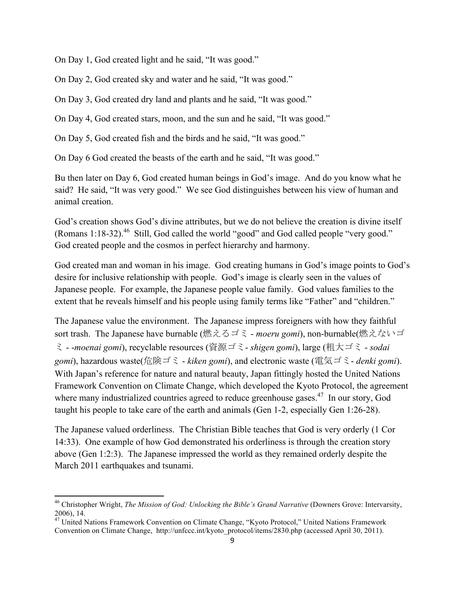On Day 1, God created light and he said, "It was good."

On Day 2, God created sky and water and he said, "It was good."

On Day 3, God created dry land and plants and he said, "It was good."

On Day 4, God created stars, moon, and the sun and he said, "It was good."

On Day 5, God created fish and the birds and he said, "It was good."

On Day 6 God created the beasts of the earth and he said, "It was good."

Bu then later on Day 6, God created human beings in God's image. And do you know what he said? He said, "It was very good." We see God distinguishes between his view of human and animal creation.

God's creation shows God's divine attributes, but we do not believe the creation is divine itself (Romans 1:18-32).<sup>46</sup> Still, God called the world "good" and God called people "very good." God created people and the cosmos in perfect hierarchy and harmony.

God created man and woman in his image. God creating humans in God's image points to God's desire for inclusive relationship with people. God's image is clearly seen in the values of Japanese people. For example, the Japanese people value family. God values families to the extent that he reveals himself and his people using family terms like "Father" and "children."

The Japanese value the environment. The Japanese impress foreigners with how they faithful sort trash. The Japanese have burnable (燃えるゴミ - *moeru gomi*), non-burnable(燃えないゴ ミ - -*moenai gomi*), recyclable resources (資源ゴミ- *shigen gomi*), large (粗大ゴミ - *sodai gomi*), hazardous waste(危険ゴミ - *kiken gomi*), and electronic waste (電気ゴミ- *denki gomi*). With Japan's reference for nature and natural beauty, Japan fittingly hosted the United Nations Framework Convention on Climate Change, which developed the Kyoto Protocol, the agreement where many industrialized countries agreed to reduce greenhouse gases.<sup>47</sup> In our story, God taught his people to take care of the earth and animals (Gen 1-2, especially Gen 1:26-28).

The Japanese valued orderliness. The Christian Bible teaches that God is very orderly (1 Cor 14:33). One example of how God demonstrated his orderliness is through the creation story above (Gen 1:2:3). The Japanese impressed the world as they remained orderly despite the March 2011 earthquakes and tsunami.

<sup>46</sup> Christopher Wright, *The Mission of God: Unlocking the Bible's Grand Narrative* (Downers Grove: Intervarsity, 2006), 14.

<sup>&</sup>lt;sup>47</sup> United Nations Framework Convention on Climate Change, "Kyoto Protocol," United Nations Framework Convention on Climate Change, http://unfccc.int/kyoto\_protocol/items/2830.php (accessed April 30, 2011).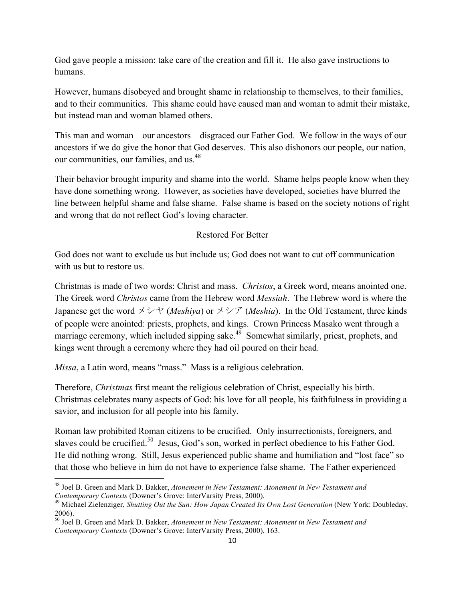God gave people a mission: take care of the creation and fill it. He also gave instructions to humans.

However, humans disobeyed and brought shame in relationship to themselves, to their families, and to their communities. This shame could have caused man and woman to admit their mistake, but instead man and woman blamed others.

This man and woman – our ancestors – disgraced our Father God. We follow in the ways of our ancestors if we do give the honor that God deserves. This also dishonors our people, our nation, our communities, our families, and us.<sup>48</sup>

Their behavior brought impurity and shame into the world. Shame helps people know when they have done something wrong. However, as societies have developed, societies have blurred the line between helpful shame and false shame. False shame is based on the society notions of right and wrong that do not reflect God's loving character.

# Restored For Better

God does not want to exclude us but include us; God does not want to cut off communication with us but to restore us.

Christmas is made of two words: Christ and mass. *Christos*, a Greek word, means anointed one. The Greek word *Christos* came from the Hebrew word *Messiah*. The Hebrew word is where the Japanese get the word  $\lambda \triangleright \gamma$  (*Meshiya*) or  $\lambda \triangleright \gamma$  (*Meshia*). In the Old Testament, three kinds of people were anointed: priests, prophets, and kings. Crown Princess Masako went through a marriage ceremony, which included sipping sake. $4\overline{9}$  Somewhat similarly, priest, prophets, and kings went through a ceremony where they had oil poured on their head.

*Missa*, a Latin word, means "mass." Mass is a religious celebration.

<u> 1989 - Johann Stein, markin film yn y breninn y breninn y breninn y breninn y breninn y breninn y breninn y b</u>

Therefore, *Christmas* first meant the religious celebration of Christ, especially his birth. Christmas celebrates many aspects of God: his love for all people, his faithfulness in providing a savior, and inclusion for all people into his family.

Roman law prohibited Roman citizens to be crucified. Only insurrectionists, foreigners, and slaves could be crucified.<sup>50</sup> Jesus, God's son, worked in perfect obedience to his Father God. He did nothing wrong. Still, Jesus experienced public shame and humiliation and "lost face" so that those who believe in him do not have to experience false shame. The Father experienced

<sup>48</sup> Joel B. Green and Mark D. Bakker, *Atonement in New Testament: Atonement in New Testament and* 

<sup>&</sup>lt;sup>49</sup> Michael Zielenziger, *Shutting Out the Sun: How Japan Created Its Own Lost Generation* (New York: Doubleday, 2006).

<sup>50</sup> Joel B. Green and Mark D. Bakker, *Atonement in New Testament: Atonement in New Testament and Contemporary Contexts* (Downer's Grove: InterVarsity Press, 2000), 163.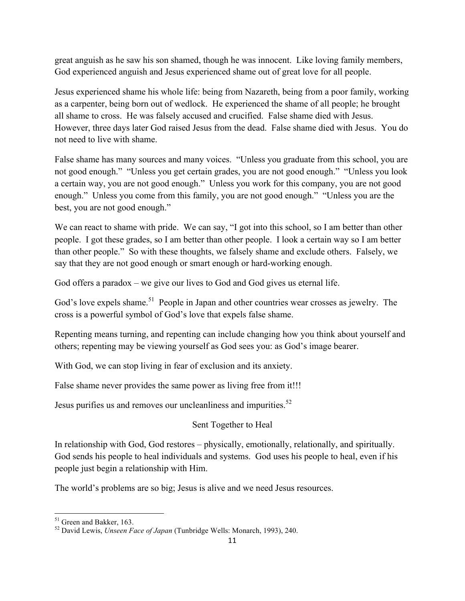great anguish as he saw his son shamed, though he was innocent. Like loving family members, God experienced anguish and Jesus experienced shame out of great love for all people.

Jesus experienced shame his whole life: being from Nazareth, being from a poor family, working as a carpenter, being born out of wedlock. He experienced the shame of all people; he brought all shame to cross. He was falsely accused and crucified. False shame died with Jesus. However, three days later God raised Jesus from the dead. False shame died with Jesus. You do not need to live with shame.

False shame has many sources and many voices. "Unless you graduate from this school, you are not good enough." "Unless you get certain grades, you are not good enough." "Unless you look a certain way, you are not good enough." Unless you work for this company, you are not good enough." Unless you come from this family, you are not good enough." "Unless you are the best, you are not good enough."

We can react to shame with pride. We can say, "I got into this school, so I am better than other people. I got these grades, so I am better than other people. I look a certain way so I am better than other people." So with these thoughts, we falsely shame and exclude others. Falsely, we say that they are not good enough or smart enough or hard-working enough.

God offers a paradox – we give our lives to God and God gives us eternal life.

God's love expels shame.<sup>51</sup> People in Japan and other countries wear crosses as jewelry. The cross is a powerful symbol of God's love that expels false shame.

Repenting means turning, and repenting can include changing how you think about yourself and others; repenting may be viewing yourself as God sees you: as God's image bearer.

With God, we can stop living in fear of exclusion and its anxiety.

False shame never provides the same power as living free from it!!!

Jesus purifies us and removes our uncleanliness and impurities.<sup>52</sup>

# Sent Together to Heal

In relationship with God, God restores – physically, emotionally, relationally, and spiritually. God sends his people to heal individuals and systems. God uses his people to heal, even if his people just begin a relationship with Him.

The world's problems are so big; Jesus is alive and we need Jesus resources.

 

<sup>51</sup> Green and Bakker, 163. <sup>52</sup> David Lewis, *Unseen Face of Japan* (Tunbridge Wells: Monarch, 1993), 240.